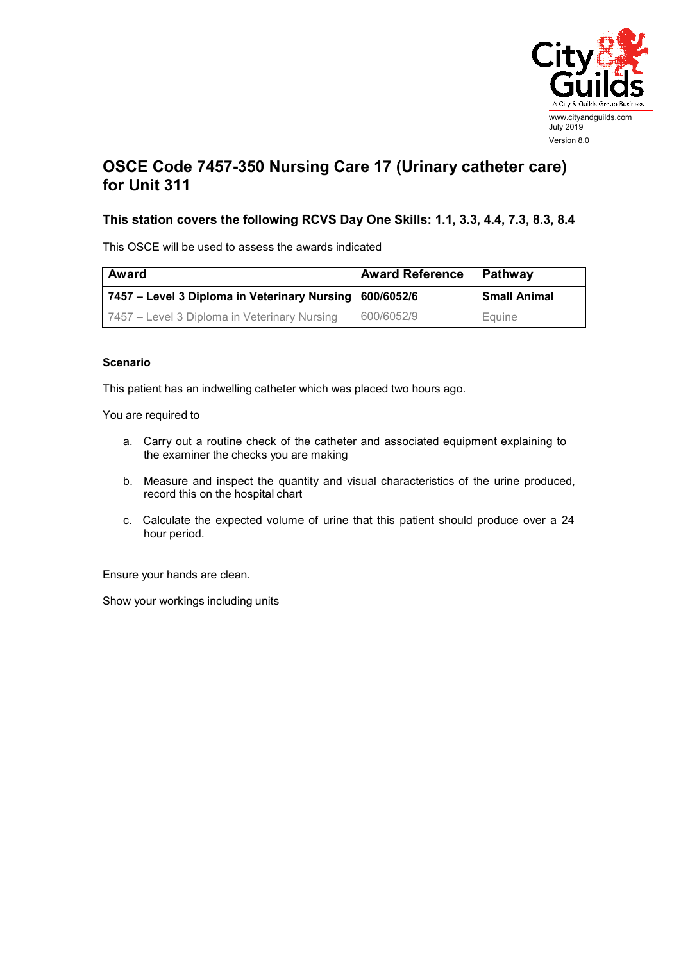

## **OSCE Code 7457-350 Nursing Care 17 (Urinary catheter care) for Unit 311**

## **This station covers the following RCVS Day One Skills: 1.1, 3.3, 4.4, 7.3, 8.3, 8.4**

This OSCE will be used to assess the awards indicated

| Award                                                     | <b>Award Reference</b> | Pathway             |
|-----------------------------------------------------------|------------------------|---------------------|
| 7457 – Level 3 Diploma in Veterinary Nursing   600/6052/6 |                        | <b>Small Animal</b> |
| 7457 – Level 3 Diploma in Veterinary Nursing              | 600/6052/9             | Equine              |

## **Scenario**

This patient has an indwelling catheter which was placed two hours ago.

You are required to

- a. Carry out a routine check of the catheter and associated equipment explaining to the examiner the checks you are making
- b. Measure and inspect the quantity and visual characteristics of the urine produced, record this on the hospital chart
- c. Calculate the expected volume of urine that this patient should produce over a 24 hour period.

Ensure your hands are clean.

Show your workings including units